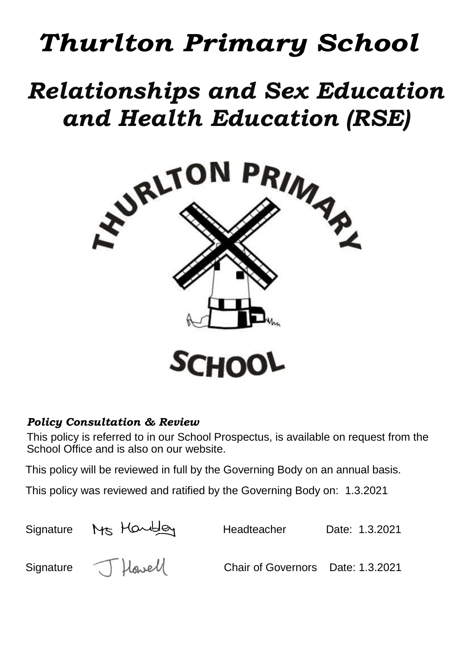# *Thurlton Primary School*

# *Relationships and Sex Education and Health Education (RSE)*



## *Policy Consultation & Review*

This policy is referred to in our School Prospectus, is available on request from the School Office and is also on our website.

This policy will be reviewed in full by the Governing Body on an annual basis.

This policy was reviewed and ratified by the Governing Body on: 1.3.2021

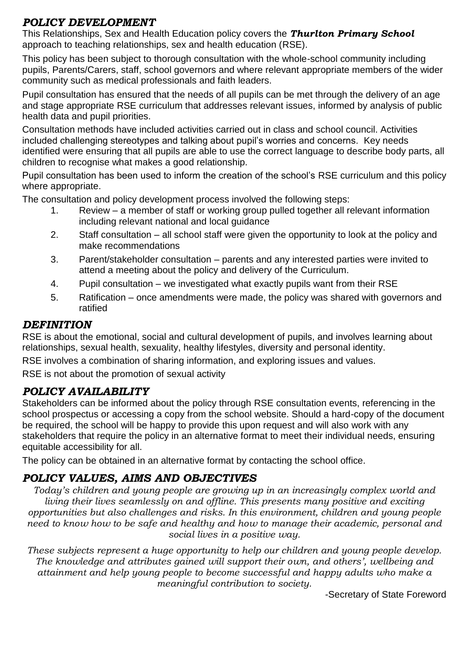#### *POLICY DEVELOPMENT*

This Relationships, Sex and Health Education policy covers the *Thurlton Primary School* approach to teaching relationships, sex and health education (RSE).

This policy has been subject to thorough consultation with the whole-school community including pupils, Parents/Carers, staff, school governors and where relevant appropriate members of the wider community such as medical professionals and faith leaders.

Pupil consultation has ensured that the needs of all pupils can be met through the delivery of an age and stage appropriate RSE curriculum that addresses relevant issues, informed by analysis of public health data and pupil priorities.

Consultation methods have included activities carried out in class and school council. Activities included challenging stereotypes and talking about pupil's worries and concerns. Key needs identified were ensuring that all pupils are able to use the correct language to describe body parts, all children to recognise what makes a good relationship.

Pupil consultation has been used to inform the creation of the school's RSE curriculum and this policy where appropriate.

The consultation and policy development process involved the following steps:

- 1. Review a member of staff or working group pulled together all relevant information including relevant national and local guidance
- 2. Staff consultation all school staff were given the opportunity to look at the policy and make recommendations
- 3. Parent/stakeholder consultation parents and any interested parties were invited to attend a meeting about the policy and delivery of the Curriculum.
- 4. Pupil consultation we investigated what exactly pupils want from their RSE
- 5. Ratification once amendments were made, the policy was shared with governors and ratified

#### *DEFINITION*

RSE is about the emotional, social and cultural development of pupils, and involves learning about relationships, sexual health, sexuality, healthy lifestyles, diversity and personal identity.

RSE involves a combination of sharing information, and exploring issues and values.

RSE is not about the promotion of sexual activity

## *POLICY AVAILABILITY*

Stakeholders can be informed about the policy through RSE consultation events, referencing in the school prospectus or accessing a copy from the school website. Should a hard-copy of the document be required, the school will be happy to provide this upon request and will also work with any stakeholders that require the policy in an alternative format to meet their individual needs, ensuring equitable accessibility for all.

The policy can be obtained in an alternative format by contacting the school office.

## *POLICY VALUES, AIMS AND OBJECTIVES*

*Today's children and young people are growing up in an increasingly complex world and living their lives seamlessly on and offline. This presents many positive and exciting opportunities but also challenges and risks. In this environment, children and young people need to know how to be safe and healthy and how to manage their academic, personal and social lives in a positive way.*

*These subjects represent a huge opportunity to help our children and young people develop. The knowledge and attributes gained will support their own, and others', wellbeing and attainment and help young people to become successful and happy adults who make a meaningful contribution to society.*

-Secretary of State Foreword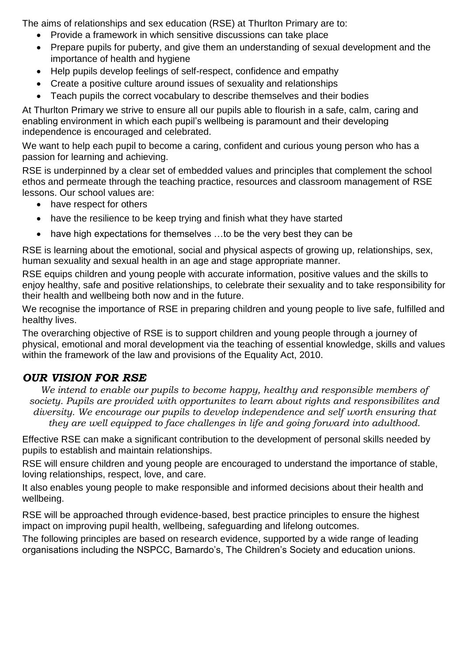The aims of relationships and sex education (RSE) at Thurlton Primary are to:

- Provide a framework in which sensitive discussions can take place
- Prepare pupils for puberty, and give them an understanding of sexual development and the importance of health and hygiene
- Help pupils develop feelings of self-respect, confidence and empathy
- Create a positive culture around issues of sexuality and relationships
- Teach pupils the correct vocabulary to describe themselves and their bodies

At Thurlton Primary we strive to ensure all our pupils able to flourish in a safe, calm, caring and enabling environment in which each pupil's wellbeing is paramount and their developing independence is encouraged and celebrated.

We want to help each pupil to become a caring, confident and curious young person who has a passion for learning and achieving.

RSE is underpinned by a clear set of embedded values and principles that complement the school ethos and permeate through the teaching practice, resources and classroom management of RSE lessons. Our school values are:

- have respect for others
- have the resilience to be keep trying and finish what they have started
- have high expectations for themselves ...to be the very best they can be

RSE is learning about the emotional, social and physical aspects of growing up, relationships, sex, human sexuality and sexual health in an age and stage appropriate manner.

RSE equips children and young people with accurate information, positive values and the skills to enjoy healthy, safe and positive relationships, to celebrate their sexuality and to take responsibility for their health and wellbeing both now and in the future.

We recognise the importance of RSE in preparing children and young people to live safe, fulfilled and healthy lives.

The overarching objective of RSE is to support children and young people through a journey of physical, emotional and moral development via the teaching of essential knowledge, skills and values within the framework of the law and provisions of the Equality Act, 2010.

## *OUR VISION FOR RSE*

*We intend to enable our pupils to become happy, healthy and responsible members of society. Pupils are provided with opportunites to learn about rights and responsibilites and diversity. We encourage our pupils to develop independence and self worth ensuring that they are well equipped to face challenges in life and going forward into adulthood.*

Effective RSE can make a significant contribution to the development of personal skills needed by pupils to establish and maintain relationships.

RSE will ensure children and young people are encouraged to understand the importance of stable, loving relationships, respect, love, and care.

It also enables young people to make responsible and informed decisions about their health and wellbeing.

RSE will be approached through evidence-based, best practice principles to ensure the highest impact on improving pupil health, wellbeing, safeguarding and lifelong outcomes.

The following principles are based on research evidence, supported by a wide range of leading organisations including the NSPCC, Barnardo's, The Children's Society and education unions.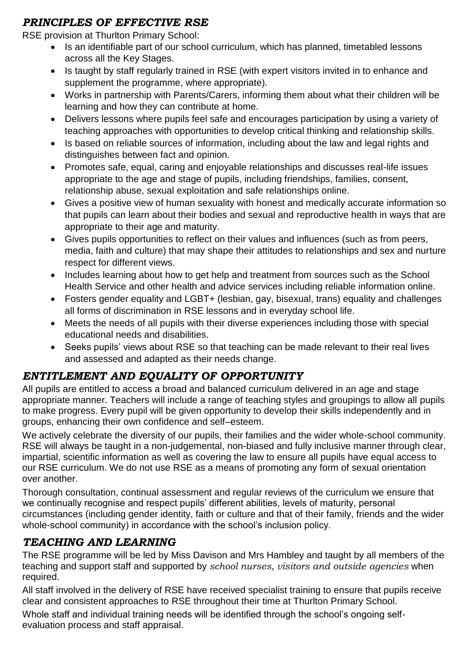## *PRINCIPLES OF EFFECTIVE RSE*

RSE provision at Thurlton Primary School:

- Is an identifiable part of our school curriculum, which has planned, timetabled lessons across all the Key Stages.
- Is taught by staff regularly trained in RSE (with expert visitors invited in to enhance and supplement the programme, where appropriate).
- Works in partnership with Parents/Carers, informing them about what their children will be learning and how they can contribute at home.
- Delivers lessons where pupils feel safe and encourages participation by using a variety of teaching approaches with opportunities to develop critical thinking and relationship skills.
- Is based on reliable sources of information, including about the law and legal rights and distinguishes between fact and opinion.
- Promotes safe, equal, caring and enjoyable relationships and discusses real-life issues appropriate to the age and stage of pupils, including friendships, families, consent, relationship abuse, sexual exploitation and safe relationships online.
- Gives a positive view of human sexuality with honest and medically accurate information so that pupils can learn about their bodies and sexual and reproductive health in ways that are appropriate to their age and maturity.
- Gives pupils opportunities to reflect on their values and influences (such as from peers, media, faith and culture) that may shape their attitudes to relationships and sex and nurture respect for different views.
- Includes learning about how to get help and treatment from sources such as the School Health Service and other health and advice services including reliable information online.
- Fosters gender equality and LGBT+ (lesbian, gay, bisexual, trans) equality and challenges all forms of discrimination in RSE lessons and in everyday school life.
- Meets the needs of all pupils with their diverse experiences including those with special educational needs and disabilities.
- Seeks pupils' views about RSE so that teaching can be made relevant to their real lives and assessed and adapted as their needs change.

## *ENTITLEMENT AND EQUALITY OF OPPORTUNITY*

All pupils are entitled to access a broad and balanced curriculum delivered in an age and stage appropriate manner. Teachers will include a range of teaching styles and groupings to allow all pupils to make progress. Every pupil will be given opportunity to develop their skills independently and in groups, enhancing their own confidence and self–esteem.

We actively celebrate the diversity of our pupils, their families and the wider whole-school community. RSE will always be taught in a non-judgemental, non-biased and fully inclusive manner through clear, impartial, scientific information as well as covering the law to ensure all pupils have equal access to our RSE curriculum. We do not use RSE as a means of promoting any form of sexual orientation over another.

Thorough consultation, continual assessment and regular reviews of the curriculum we ensure that we continually recognise and respect pupils' different abilities, levels of maturity, personal circumstances (including gender identity, faith or culture and that of their family, friends and the wider whole-school community) in accordance with the school's inclusion policy.

## *TEACHING AND LEARNING*

The RSE programme will be led by Miss Davison and Mrs Hambley and taught by all members of the teaching and support staff and supported by *school nurses, visitors and outside agencies* when required.

All staff involved in the delivery of RSE have received specialist training to ensure that pupils receive clear and consistent approaches to RSE throughout their time at Thurlton Primary School.

Whole staff and individual training needs will be identified through the school's ongoing selfevaluation process and staff appraisal.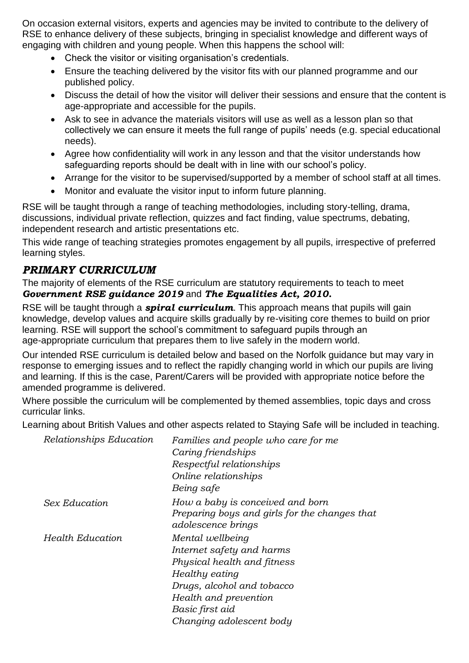On occasion external visitors, experts and agencies may be invited to contribute to the delivery of RSE to enhance delivery of these subjects, bringing in specialist knowledge and different ways of engaging with children and young people. When this happens the school will:

- Check the visitor or visiting organisation's credentials.
- Ensure the teaching delivered by the visitor fits with our planned programme and our published policy.
- Discuss the detail of how the visitor will deliver their sessions and ensure that the content is age-appropriate and accessible for the pupils.
- Ask to see in advance the materials visitors will use as well as a lesson plan so that collectively we can ensure it meets the full range of pupils' needs (e.g. special educational needs).
- Agree how confidentiality will work in any lesson and that the visitor understands how safeguarding reports should be dealt with in line with our school's policy.
- Arrange for the visitor to be supervised/supported by a member of school staff at all times.
- Monitor and evaluate the visitor input to inform future planning.

RSE will be taught through a range of teaching methodologies, including story-telling, drama, discussions, individual private reflection, quizzes and fact finding, value spectrums, debating, independent research and artistic presentations etc.

This wide range of teaching strategies promotes engagement by all pupils, irrespective of preferred learning styles.

#### *PRIMARY CURRICULUM*

The majority of elements of the RSE curriculum are statutory requirements to teach to meet *Government RSE guidance 2019* and *The Equalities Act, 2010.*

RSE will be taught through a *spiral curriculum*. This approach means that pupils will gain knowledge, develop values and acquire skills gradually by re-visiting core themes to build on prior learning. RSE will support the school's commitment to safeguard pupils through an age-appropriate curriculum that prepares them to live safely in the modern world.

Our intended RSE curriculum is detailed below and based on the Norfolk guidance but may vary in response to emerging issues and to reflect the rapidly changing world in which our pupils are living and learning. If this is the case, Parent/Carers will be provided with appropriate notice before the amended programme is delivered.

Where possible the curriculum will be complemented by themed assemblies, topic days and cross curricular links.

Learning about British Values and other aspects related to Staying Safe will be included in teaching.

| Relationships Education | Families and people who care for me<br>Caring friendships<br>Respectful relationships<br>Online relationships<br>Being safe                                                                          |
|-------------------------|------------------------------------------------------------------------------------------------------------------------------------------------------------------------------------------------------|
| Sex Education           | How a baby is conceived and born<br>Preparing boys and girls for the changes that<br><i>adolescence brings</i>                                                                                       |
| <b>Health Education</b> | Mental wellbeing<br>Internet safety and harms<br>Physical health and fitness<br>Healthy eating<br>Drugs, alcohol and tobacco<br>Health and prevention<br>Basic first aid<br>Changing adolescent body |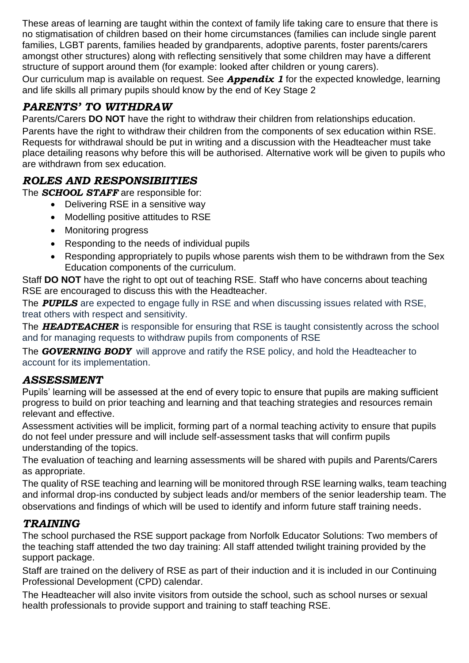These areas of learning are taught within the context of family life taking care to ensure that there is no stigmatisation of children based on their home circumstances (families can include single parent families, LGBT parents, families headed by grandparents, adoptive parents, foster parents/carers amongst other structures) along with reflecting sensitively that some children may have a different structure of support around them (for example: looked after children or young carers).

Our curriculum map is available on request. See *Appendix 1* for the expected knowledge, learning and life skills all primary pupils should know by the end of Key Stage 2

## *PARENTS' TO WITHDRAW*

Parents/Carers **DO NOT** have the right to withdraw their children from relationships education. Parents have the right to withdraw their children from the components of sex education within RSE. Requests for withdrawal should be put in writing and a discussion with the Headteacher must take place detailing reasons why before this will be authorised. Alternative work will be given to pupils who are withdrawn from sex education.

## *ROLES AND RESPONSIBIITIES*

The *SCHOOL STAFF* are responsible for:

- Delivering RSE in a sensitive way
- Modelling positive attitudes to RSE
- Monitoring progress
- Responding to the needs of individual pupils
- Responding appropriately to pupils whose parents wish them to be withdrawn from the Sex Education components of the curriculum.

Staff **DO NOT** have the right to opt out of teaching RSE. Staff who have concerns about teaching RSE are encouraged to discuss this with the Headteacher.

The *PUPILS* are expected to engage fully in RSE and when discussing issues related with RSE, treat others with respect and sensitivity.

The *HEADTEACHER* is responsible for ensuring that RSE is taught consistently across the school and for managing requests to withdraw pupils from components of RSE

The *GOVERNING BODY* will approve and ratify the RSE policy, and hold the Headteacher to account for its implementation.

#### *ASSESSMENT*

Pupils' learning will be assessed at the end of every topic to ensure that pupils are making sufficient progress to build on prior teaching and learning and that teaching strategies and resources remain relevant and effective.

Assessment activities will be implicit, forming part of a normal teaching activity to ensure that pupils do not feel under pressure and will include self-assessment tasks that will confirm pupils understanding of the topics.

The evaluation of teaching and learning assessments will be shared with pupils and Parents/Carers as appropriate.

The quality of RSE teaching and learning will be monitored through RSE learning walks, team teaching and informal drop-ins conducted by subject leads and/or members of the senior leadership team. The observations and findings of which will be used to identify and inform future staff training needs.

#### *TRAINING*

The school purchased the RSE support package from Norfolk Educator Solutions: Two members of the teaching staff attended the two day training: All staff attended twilight training provided by the support package.

Staff are trained on the delivery of RSE as part of their induction and it is included in our Continuing Professional Development (CPD) calendar.

The Headteacher will also invite visitors from outside the school, such as school nurses or sexual health professionals to provide support and training to staff teaching RSE.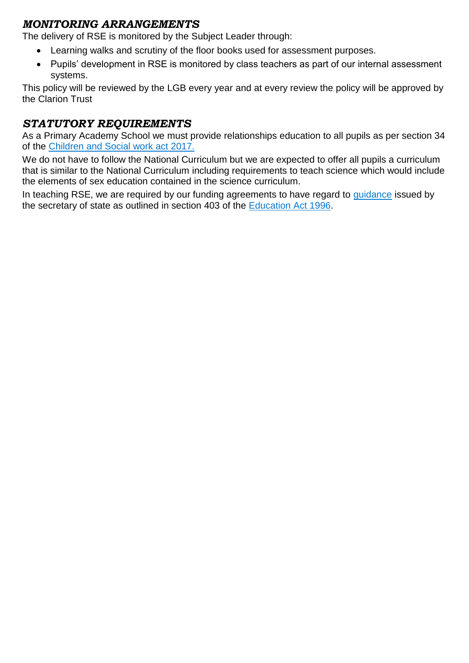#### *MONITORING ARRANGEMENTS*

The delivery of RSE is monitored by the Subject Leader through:

- Learning walks and scrutiny of the floor books used for assessment purposes.
- Pupils' development in RSE is monitored by class teachers as part of our internal assessment systems.

This policy will be reviewed by the LGB every year and at every review the policy will be approved by the Clarion Trust

## *STATUTORY REQUIREMENTS*

As a Primary Academy School we must provide relationships education to all pupils as per section 34 of the [Children and Social work act 2017.](http://www.legislation.gov.uk/ukpga/2017/16/section/34/enacted)

We do not have to follow the National Curriculum but we are expected to offer all pupils a curriculum that is similar to the National Curriculum including requirements to teach science which would include the elements of sex education contained in the science curriculum.

In teaching RSE, we are required by our funding agreements to have regard to quidance issued by the secretary of state as outlined in section 403 of the [Education Act 1996.](http://www.legislation.gov.uk/ukpga/1996/56/contents)